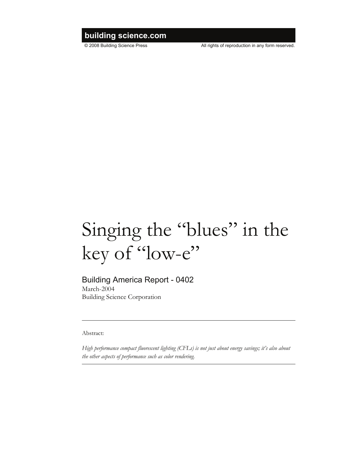## **building science.com**

© 2008 Building Science Press All rights of reproduction in any form reserved.

# Singing the "blues" in the key of "low-e"

### Building America Report - 0402

March-2004 Building Science Corporation

Abstract:

*High performance compact fluorescent lighting (CFLs) is not just about energy savings; it's also about the other aspects of performance such as color rendering.*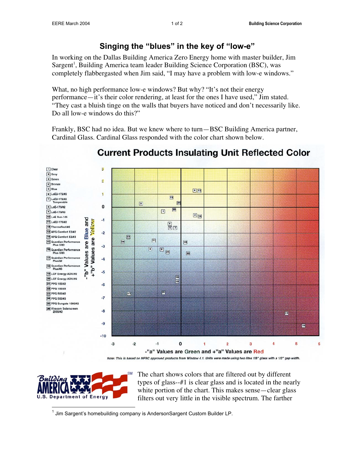In working on the Dallas Building America Zero Energy home with master builder, Jim Sargent<sup>1</sup>, Building America team leader Building Science Corporation (BSC), was completely flabbergasted when Jim said, "I may have a problem with low-e windows."

What, no high performance low-e windows? But why? "It's not their energy performance—it's their color rendering, at least for the ones I have used," Jim stated. "They cast a bluish tinge on the walls that buyers have noticed and don't necessarily like. Do all low-e windows do this?"

Frankly, BSC had no idea. But we knew where to turn—BSC Building America partner, Cardinal Glass. Cardinal Glass responded with the color chart shown below.



# **Current Products Insulating Unit Reflected Color**

Building **U.S. Department of Energy**  The chart shows colors that are filtered out by different types of glass--#1 is clear glass and is located in the nearly white portion of the chart. This makes sense—clear glass filters out very little in the visible spectrum. The farther

 $\overline{a}$ <sup>1</sup> Jim Sargent's homebuilding company is AndersonSargent Custom Builder LP.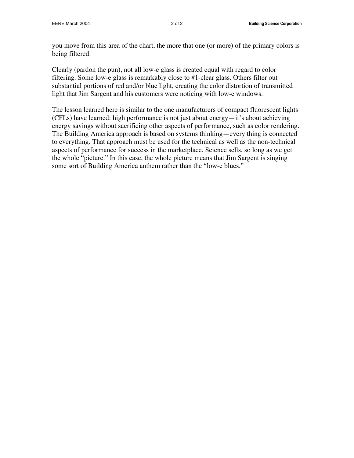you move from this area of the chart, the more that one (or more) of the primary colors is being filtered.

Clearly (pardon the pun), not all low-e glass is created equal with regard to color filtering. Some low-e glass is remarkably close to #1-clear glass. Others filter out substantial portions of red and/or blue light, creating the color distortion of transmitted light that Jim Sargent and his customers were noticing with low-e windows.

The lesson learned here is similar to the one manufacturers of compact fluorescent lights (CFLs) have learned: high performance is not just about energy—it's about achieving energy savings without sacrificing other aspects of performance, such as color rendering. The Building America approach is based on systems thinking—every thing is connected to everything. That approach must be used for the technical as well as the non-technical aspects of performance for success in the marketplace. Science sells, so long as we get the whole "picture." In this case, the whole picture means that Jim Sargent is singing some sort of Building America anthem rather than the "low-e blues."